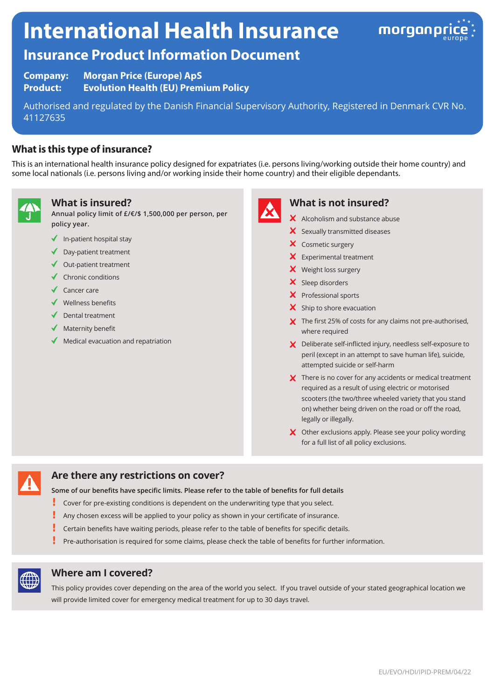# **International Health Insurance**



# **Insurance Product Information Document**

**Company: Morgan Price (Europe) ApS Product: Evolution Health (EU) Premium Policy**

Authorised and regulated by the Danish Financial Supervisory Authority, Registered in Denmark CVR No. 41127635

# **What is this type of insurance?**

This is an international health insurance policy designed for expatriates (i.e. persons living/working outside their home country) and some local nationals (i.e. persons living and/or working inside their home country) and their eligible dependants.



#### **What is insured?**

**Annual policy limit of £/€/\$ 1,500,000 per person, per policy year.**

- $\blacklozenge$  In-patient hospital stay
- ◆ Day-patient treatment
- $\triangleleft$  Out-patient treatment
- $\checkmark$  Chronic conditions
- $\sqrt{\phantom{a}}$  Cancer care
- $\checkmark$  Wellness benefits
- Dental treatment
- $\blacklozenge$  Maternity benefit
- Medical evacuation and repatriation



# **What is not insured?**

- X Alcoholism and substance abuse
- $\boldsymbol{\times}$  Sexually transmitted diseases
- X Cosmetic surgery
- **X** Experimental treatment
- X Weight loss surgery
- $\boldsymbol{\times}$  Sleep disorders
- X Professional sports
- $\boldsymbol{\times}$  Ship to shore evacuation
- X The first 25% of costs for any claims not pre-authorised, where required
- X Deliberate self-inflicted injury, needless self-exposure to peril (except in an attempt to save human life), suicide, attempted suicide or self-harm
- X There is no cover for any accidents or medical treatment required as a result of using electric or motorised scooters (the two/three wheeled variety that you stand on) whether being driven on the road or off the road, legally or illegally.
- X Other exclusions apply. Please see your policy wording for a full list of all policy exclusions.



### **Are there any restrictions on cover?**

**Some of our benefits have specific limits. Please refer to the table of benefits for full details**

- Į Cover for pre-existing conditions is dependent on the underwriting type that you select.
- Any chosen excess will be applied to your policy as shown in your certificate of insurance.
- Certain benefits have waiting periods, please refer to the table of benefits for specific details.
- Ĩ Pre-authorisation is required for some claims, please check the table of benefits for further information.



#### **Where am I covered?**

This policy provides cover depending on the area of the world you select. If you travel outside of your stated geographical location we will provide limited cover for emergency medical treatment for up to 30 days travel.